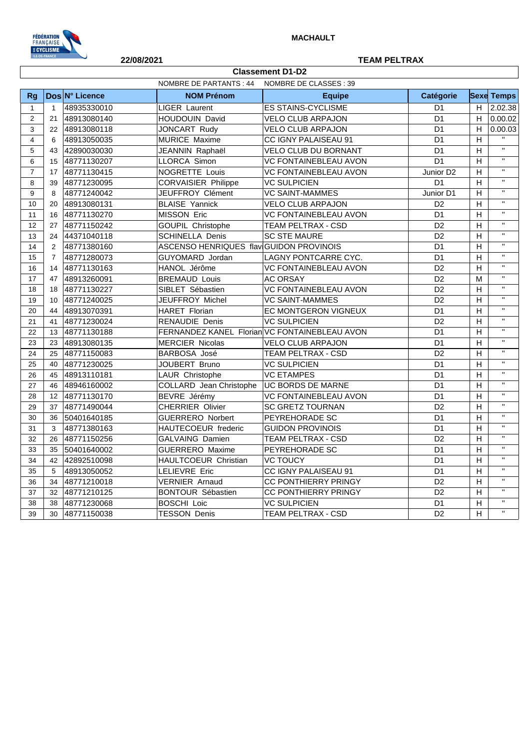

## **22/08/2021 TEAM PELTRAX**

|                | NOMBRE DE PARTANTS : 44<br>NOMBRE DE CLASSES : 39 |                |                                               |                              |                       |                         |                         |
|----------------|---------------------------------------------------|----------------|-----------------------------------------------|------------------------------|-----------------------|-------------------------|-------------------------|
| Rg             |                                                   | Dos N° Licence | <b>NOM Prénom</b>                             | <b>Equipe</b>                | Catégorie             |                         | <b>Sexe Temps</b>       |
| $\mathbf{1}$   | $\overline{1}$                                    | 48935330010    | <b>LIGER Laurent</b>                          | <b>ES STAINS-CYCLISME</b>    | D <sub>1</sub>        | H                       | 2.02.38                 |
| $\overline{2}$ | 21                                                | 48913080140    | HOUDOUIN David                                | <b>VELO CLUB ARPAJON</b>     | D <sub>1</sub>        | H                       | 0.00.02                 |
| 3              | 22                                                | 48913080118    | JONCART Rudy                                  | <b>VELO CLUB ARPAJON</b>     | D <sub>1</sub>        | H                       | 0.00.03                 |
| $\overline{4}$ | 6                                                 | 48913050035    | MURICE Maxime                                 | CC IGNY PALAISEAU 91         | D <sub>1</sub>        | H                       |                         |
| 5              | 43                                                | 42890030030    | JEANNIN Raphaël                               | VELO CLUB DU BORNANT         | D <sub>1</sub>        | H.                      | $\mathbf{H}$            |
| 6              | 15                                                | 48771130207    | LLORCA Simon                                  | <b>VC FONTAINEBLEAU AVON</b> | D <sub>1</sub>        | $\overline{H}$          | $\overline{\mathbf{u}}$ |
| $\overline{7}$ | 17                                                | 48771130415    | NOGRETTE Louis                                | <b>VC FONTAINEBLEAU AVON</b> | Junior D <sub>2</sub> | $\overline{H}$          | $\mathbf{H}$            |
| 8              | 39                                                | 48771230095    | <b>CORVAISIER Philippe</b>                    | <b>VC SULPICIEN</b>          | D <sub>1</sub>        | $\overline{H}$          | $\bar{\mathbf{H}}$      |
| 9              | 8                                                 | 48771240042    | JEUFFROY Clément                              | <b>VC SAINT-MAMMES</b>       | Junior D1             | H                       | $\bar{\mathbf{H}}$      |
| 10             | 20                                                | 48913080131    | <b>BLAISE Yannick</b>                         | <b>VELO CLUB ARPAJON</b>     | D <sub>2</sub>        | $\overline{H}$          | $\overline{\mathbf{u}}$ |
| 11             | 16                                                | 48771130270    | MISSON Eric                                   | <b>VC FONTAINEBLEAU AVON</b> | D <sub>1</sub>        | H                       | $\mathbf{H}$            |
| 12             | 27                                                | 48771150242    | GOUPIL Christophe                             | <b>TEAM PELTRAX - CSD</b>    | D <sub>2</sub>        | H                       | $\mathbf{H}$            |
| 13             | 24                                                | 44371040118    | <b>SCHINELLA Denis</b>                        | <b>SC STE MAURE</b>          | D <sub>2</sub>        | $\overline{H}$          | $\bar{\mathbf{H}}$      |
| 14             | $\overline{2}$                                    | 48771380160    | ASCENSO HENRIQUES flav GUIDON PROVINOIS       |                              | D <sub>1</sub>        | H                       | $\bar{\mathbf{H}}$      |
| 15             | $\overline{7}$                                    | 48771280073    | GUYOMARD Jordan                               | LAGNY PONTCARRE CYC.         | D <sub>1</sub>        | $\overline{H}$          | $\bar{\mathbf{H}}$      |
| 16             | 14                                                | 48771130163    | HANOL Jérôme                                  | <b>VC FONTAINEBLEAU AVON</b> | D <sub>2</sub>        | H                       | $\mathbf{H}$            |
| 17             | 47                                                | 48913260091    | <b>BREMAUD Louis</b>                          | <b>AC ORSAY</b>              | D <sub>2</sub>        | M                       | $\mathbf{u}$            |
| 18             | 18                                                | 48771130227    | SIBLET Sébastien                              | <b>VC FONTAINEBLEAU AVON</b> | D <sub>2</sub>        | $\overline{H}$          | $\overline{\mathbf{u}}$ |
| 19             | 10                                                | 48771240025    | JEUFFROY Michel                               | <b>VC SAINT-MAMMES</b>       | D <sub>2</sub>        | H                       | $\bar{\mathbf{H}}$      |
| 20             | 44                                                | 48913070391    | <b>HARET Florian</b>                          | EC MONTGERON VIGNEUX         | D <sub>1</sub>        | H                       | $\mathbf{H}$            |
| 21             | 41                                                | 48771230024    | RENAUDIE Denis                                | <b>VC SULPICIEN</b>          | D <sub>2</sub>        | H                       | $\bar{\mathbf{H}}$      |
| 22             | 13                                                | 48771130188    | FERNANDEZ KANEL Florian VC FONTAINEBLEAU AVON |                              | D <sub>1</sub>        | H                       | $\mathbf{H}$            |
| 23             | 23                                                | 48913080135    | <b>MERCIER Nicolas</b>                        | <b>VELO CLUB ARPAJON</b>     | D <sub>1</sub>        | $\overline{\mathsf{H}}$ | $\bar{\mathbf{H}}$      |
| 24             | 25                                                | 48771150083    | <b>BARBOSA José</b>                           | <b>TEAM PELTRAX - CSD</b>    | D <sub>2</sub>        | H                       | $\overline{u}$          |
| 25             | 40                                                | 48771230025    | JOUBERT Bruno                                 | <b>VC SULPICIEN</b>          | D <sub>1</sub>        | $\overline{H}$          | $\mathbf{H}$            |
| 26             | 45                                                | 48913110181    | LAUR Christophe                               | <b>VC ETAMPES</b>            | D <sub>1</sub>        | H                       | $\mathbf{H}$            |
| 27             | 46                                                | 48946160002    | COLLARD Jean Christophe                       | <b>UC BORDS DE MARNE</b>     | D <sub>1</sub>        | H                       | $\mathbf{H}$            |
| 28             | 12                                                | 48771130170    | BEVRE Jérémy                                  | <b>VC FONTAINEBLEAU AVON</b> | D <sub>1</sub>        | $\overline{\mathsf{H}}$ | $\mathbf{H}$            |
| 29             | 37                                                | 48771490044    | <b>CHERRIER Olivier</b>                       | <b>SC GRETZ TOURNAN</b>      | D <sub>2</sub>        | H                       | $\bar{\mathbf{H}}$      |
| 30             | 36                                                | 50401640185    | <b>GUERRERO Norbert</b>                       | PEYREHORADE SC               | D <sub>1</sub>        | H                       | $\mathbf{H}$            |
| 31             | 3                                                 | 48771380163    | HAUTECOEUR frederic                           | <b>GUIDON PROVINOIS</b>      | D <sub>1</sub>        | H                       |                         |
| 32             | 26                                                | 48771150256    | GALVAING Damien                               | <b>TEAM PELTRAX - CSD</b>    | $\overline{D2}$       | $\overline{H}$          | $\mathbf{H}$            |
| 33             | 35                                                | 50401640002    | <b>GUERRERO</b> Maxime                        | PEYREHORADE SC               | D <sub>1</sub>        | $\overline{H}$          | $\overline{\mathbf{u}}$ |
| 34             | 42                                                | 42892510098    | HAULTCOEUR Christian                          | <b>VC TOUCY</b>              | D <sub>1</sub>        | H                       | π                       |
| 35             | 5                                                 | 48913050052    | <b>LELIEVRE Eric</b>                          | CC IGNY PALAISEAU 91         | D <sub>1</sub>        | H                       | $\mathbf{H}$            |
| 36             | 34                                                | 48771210018    | <b>VERNIER Arnaud</b>                         | CC PONTHIERRY PRINGY         | D <sub>2</sub>        | H                       | $\mathbf{H}$            |
| 37             | 32                                                | 48771210125    | <b>BONTOUR Sébastien</b>                      | <b>CC PONTHIERRY PRINGY</b>  | D <sub>2</sub>        | $\overline{H}$          | $\mathbf{H}$            |
| 38             | 38                                                | 48771230068    | <b>BOSCHI Loic</b>                            | <b>VC SULPICIEN</b>          | D <sub>1</sub>        | $\overline{\mathsf{H}}$ | $\mathbf{H}$            |
| 39             | 30                                                | 48771150038    | <b>TESSON Denis</b>                           | <b>TEAM PELTRAX - CSD</b>    | D <sub>2</sub>        | $\overline{\mathsf{H}}$ | $\mathbf{H}$            |

**Classement D1-D2**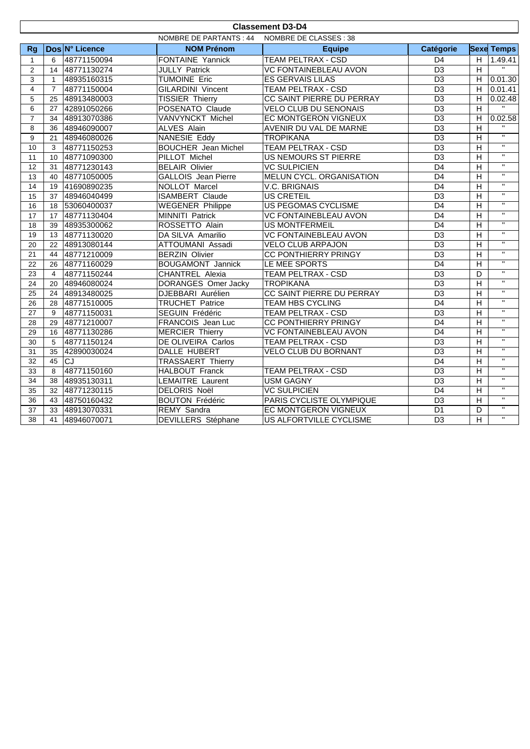|                                                   | <b>Classement D3-D4</b> |                |                            |                              |                 |                |                         |
|---------------------------------------------------|-------------------------|----------------|----------------------------|------------------------------|-----------------|----------------|-------------------------|
| NOMBRE DE PARTANTS : 44<br>NOMBRE DE CLASSES : 38 |                         |                |                            |                              |                 |                |                         |
| <b>Rg</b>                                         |                         | Dos N° Licence | <b>NOM Prénom</b>          | <b>Equipe</b>                | Catégorie       |                | <b>Sexe Temps</b>       |
| $\mathbf{1}$                                      | 6                       | 48771150094    | FONTAINE Yannick           | <b>TEAM PELTRAX - CSD</b>    | D <sub>4</sub>  | H              | 1.49.41                 |
| $\overline{2}$                                    | 14                      | 48771130274    | <b>JULLY Patrick</b>       | VC FONTAINEBLEAU AVON        | $\overline{D3}$ | $\overline{H}$ | $\overline{11}$         |
| 3                                                 | $\mathbf{1}$            | 48935160315    | <b>TUMOINE Eric</b>        | <b>ES GERVAIS LILAS</b>      | $\overline{D3}$ |                | $H$ 0.01.30             |
| $\overline{4}$                                    | $\overline{7}$          | 48771150004    | <b>GILARDINI Vincent</b>   | <b>TEAM PELTRAX - CSD</b>    | $\overline{D3}$ | $\overline{H}$ | 0.01.41                 |
| 5                                                 | 25                      | 48913480003    | <b>TISSIER Thierry</b>     | CC SAINT PIERRE DU PERRAY    | $\overline{D3}$ | H              | 0.02.48                 |
| 6                                                 | 27                      | 42891050266    | POSENATO Claude            | <b>VELO CLUB DU SENONAIS</b> | $\overline{D3}$ | $\overline{H}$ | $\mathbf{u}$ .          |
| $\overline{7}$                                    | 34                      | 48913070386    | VANVYNCKT Michel           | EC MONTGERON VIGNEUX         | D <sub>3</sub>  | H              | 0.02.58                 |
| 8                                                 | 36                      | 48946090007    | <b>ALVES Alain</b>         | AVENIR DU VAL DE MARNE       | $\overline{D3}$ | $\overline{H}$ |                         |
| 9                                                 | 21                      | 48946080026    | <b>NANESIE Eddy</b>        | <b>TROPIKANA</b>             | $\overline{D3}$ | $\overline{H}$ | $\overline{u}$          |
| 10                                                | 3                       | 48771150253    | <b>BOUCHER</b> Jean Michel | <b>TEAM PELTRAX - CSD</b>    | D <sub>3</sub>  | $\overline{H}$ | $\overline{u}$          |
| 11                                                | 10                      | 48771090300    | PILLOT Michel              | <b>US NEMOURS ST PIERRE</b>  | D <sub>3</sub>  | $\overline{H}$ | $\overline{w}$          |
| 12                                                | 31                      | 48771230143    | <b>BELAIR Olivier</b>      | <b>VC SULPICIEN</b>          | D <sub>4</sub>  | H              | $\overline{\mathbf{u}}$ |
| 13                                                | 40                      | 48771050005    | <b>GALLOIS</b> Jean Pierre | MELUN CYCL. ORGANISATION     | $\overline{D4}$ | $\overline{H}$ | $\overline{\mathbf{u}}$ |
| 14                                                | 19                      | 41690890235    | NOLLOT Marcel              | <b>V.C. BRIGNAIS</b>         | D <sub>4</sub>  | $\overline{H}$ | $\overline{\mathbf{u}}$ |
| 15                                                | 37                      | 48946040499    | <b>ISAMBERT Claude</b>     | <b>US CRETEIL</b>            | $\overline{D3}$ | $\overline{H}$ | $\overline{\mathbf{u}}$ |
| 16                                                | 18                      | 53060400037    | <b>WEGENER Philippe</b>    | <b>US PEGOMAS CYCLISME</b>   | D <sub>4</sub>  | H              | $\overline{u}$          |
| $\overline{17}$                                   | 17                      | 48771130404    | <b>MINNITI Patrick</b>     | <b>VC FONTAINEBLEAU AVON</b> | $\overline{D4}$ | $\overline{H}$ | $\overline{u}$          |
| 18                                                | 39                      | 48935300062    | ROSSETTO Alain             | <b>US MONTFERMEIL</b>        | D <sub>4</sub>  | $\overline{H}$ | $\overline{u}$          |
| 19                                                | 13                      | 48771130020    | DA SILVA Amarilio          | <b>VC FONTAINEBLEAU AVON</b> | $\overline{D3}$ | $\overline{H}$ | $\overline{u}$          |
| 20                                                | 22                      | 48913080144    | ATTOUMANI Assadi           | <b>VELO CLUB ARPAJON</b>     | D <sub>3</sub>  | H              | $\overline{\mathbf{u}}$ |
| 21                                                | 44                      | 48771210009    | <b>BERZIN Olivier</b>      | <b>CC PONTHIERRY PRINGY</b>  | D <sub>3</sub>  | H              | $\mathbf{H}$            |
| 22                                                | 26                      | 48771160029    | <b>BOUGAMONT Jannick</b>   | LE MEE SPORTS                | $\overline{D4}$ | $\overline{H}$ | $\overline{u}$          |
| 23                                                | $\overline{4}$          | 48771150244    | <b>CHANTREL Alexia</b>     | <b>TEAM PELTRAX - CSD</b>    | $\overline{D3}$ | D              | $\overline{\mathbf{u}}$ |
| 24                                                | 20                      | 48946080024    | <b>DORANGES Omer Jacky</b> | <b>TROPIKANA</b>             | $\overline{D3}$ | $\overline{H}$ | $\overline{u}$          |
| 25                                                | 24                      | 48913480025    | DJEBBARI Aurélien          | CC SAINT PIERRE DU PERRAY    | D <sub>3</sub>  | H              | $\overline{u}$          |
| $\overline{26}$                                   | 28                      | 48771510005    | <b>TRUCHET Patrice</b>     | TEAM HBS CYCLING             | $\overline{D4}$ | $\overline{H}$ | $\overline{u}$          |
| 27                                                | 9                       | 48771150031    | SEGUIN Frédéric            | TEAM PELTRAX - CSD           | $\overline{D3}$ | $\overline{H}$ | $\overline{u}$          |
| 28                                                | 29                      | 48771210007    | FRANCOIS Jean Luc          | <b>CC PONTHIERRY PRINGY</b>  | D <sub>4</sub>  | $\overline{H}$ | $\overline{\mathbf{u}}$ |
| 29                                                | 16                      | 48771130286    | <b>MERCIER Thierry</b>     | <b>VC FONTAINEBLEAU AVON</b> | D4              | $\overline{H}$ | $\overline{u}$          |
| 30                                                | 5                       | 48771150124    | DE OLIVEIRA Carlos         | <b>TEAM PELTRAX - CSD</b>    | D3              | H              | $\overline{\mathbf{u}}$ |
| 31                                                | 35                      | 42890030024    | <b>DALLE HUBERT</b>        | VELO CLUB DU BORNANT         | D <sub>3</sub>  | H              | $\overline{\mathbf{u}}$ |
| 32                                                | 45                      | C1             | <b>TRASSAERT Thierry</b>   |                              | D <sub>4</sub>  | $\overline{H}$ | $\overline{\mathbf{u}}$ |
| 33                                                | 8                       | 48771150160    | HALBOUT Franck             | TEAM PELTRAX - CSD           | $\overline{D3}$ | $\overline{H}$ | $\overline{\mathbf{u}}$ |
| 34                                                | 38                      | 48935130311    | <b>LEMAITRE Laurent</b>    | <b>USM GAGNY</b>             | D <sub>3</sub>  | H              | $\mathbf{H}$            |
| 35                                                | 32                      | 48771230115    | <b>DELORIS Noël</b>        | <b>VC SULPICIEN</b>          | D <sub>4</sub>  | H              | $\overline{u}$          |
| 36                                                | 43                      | 48750160432    | <b>BOUTON Frédéric</b>     | PARIS CYCLISTE OLYMPIQUE     | $\overline{D3}$ | $\overline{H}$ | $\overline{u}$          |
| 37                                                | 33                      | 48913070331    | REMY Sandra                | EC MONTGERON VIGNEUX         | $\overline{D1}$ | D              | $\overline{\mathbf{u}}$ |
| 38                                                | 41                      | 48946070071    | <b>DEVILLERS</b> Stéphane  | US ALFORTVILLE CYCLISME      | $\overline{D3}$ | $\overline{H}$ | $\overline{u}$          |